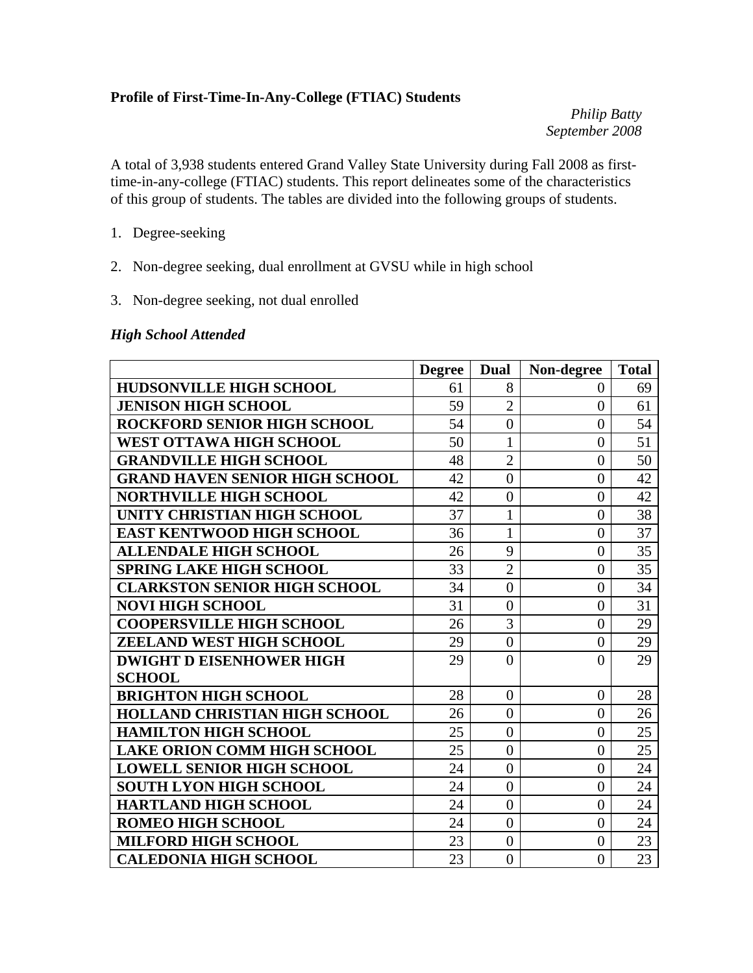### **Profile of First-Time-In-Any-College (FTIAC) Students**

*Philip Batty September 2008* 

A total of 3,938 students entered Grand Valley State University during Fall 2008 as firsttime-in-any-college (FTIAC) students. This report delineates some of the characteristics of this group of students. The tables are divided into the following groups of students.

- 1. Degree-seeking
- 2. Non-degree seeking, dual enrollment at GVSU while in high school
- 3. Non-degree seeking, not dual enrolled

### *High School Attended*

|                                       | <b>Degree</b> | Dual             | Non-degree     | <b>Total</b> |
|---------------------------------------|---------------|------------------|----------------|--------------|
| <b>HUDSONVILLE HIGH SCHOOL</b>        | 61            | 8                | 0              | 69           |
| <b>JENISON HIGH SCHOOL</b>            | 59            | $\overline{2}$   | $\overline{0}$ | 61           |
| <b>ROCKFORD SENIOR HIGH SCHOOL</b>    | 54            | $\overline{0}$   | $\theta$       | 54           |
| WEST OTTAWA HIGH SCHOOL               | 50            | $\mathbf{1}$     | $\overline{0}$ | 51           |
| <b>GRANDVILLE HIGH SCHOOL</b>         | 48            | $\overline{2}$   | $\overline{0}$ | 50           |
| <b>GRAND HAVEN SENIOR HIGH SCHOOL</b> | 42            | $\overline{0}$   | $\theta$       | 42           |
| <b>NORTHVILLE HIGH SCHOOL</b>         | 42            | $\overline{0}$   | $\overline{0}$ | 42           |
| UNITY CHRISTIAN HIGH SCHOOL           | 37            | $\mathbf{1}$     | $\theta$       | 38           |
| <b>EAST KENTWOOD HIGH SCHOOL</b>      | 36            | $\mathbf{1}$     | $\overline{0}$ | 37           |
| <b>ALLENDALE HIGH SCHOOL</b>          | 26            | 9                | $\overline{0}$ | 35           |
| <b>SPRING LAKE HIGH SCHOOL</b>        | 33            | $\overline{2}$   | $\overline{0}$ | 35           |
| <b>CLARKSTON SENIOR HIGH SCHOOL</b>   | 34            | $\overline{0}$   | $\overline{0}$ | 34           |
| <b>NOVI HIGH SCHOOL</b>               | 31            | $\overline{0}$   | $\theta$       | 31           |
| <b>COOPERSVILLE HIGH SCHOOL</b>       | 26            | 3                | $\theta$       | 29           |
| ZEELAND WEST HIGH SCHOOL              | 29            | $\boldsymbol{0}$ | $\overline{0}$ | 29           |
| <b>DWIGHT D EISENHOWER HIGH</b>       | 29            | $\theta$         | $\theta$       | 29           |
| <b>SCHOOL</b>                         |               |                  |                |              |
| <b>BRIGHTON HIGH SCHOOL</b>           | 28            | $\boldsymbol{0}$ | $\overline{0}$ | 28           |
| <b>HOLLAND CHRISTIAN HIGH SCHOOL</b>  | 26            | $\overline{0}$   | $\theta$       | 26           |
| <b>HAMILTON HIGH SCHOOL</b>           | 25            | $\boldsymbol{0}$ | $\overline{0}$ | 25           |
| <b>LAKE ORION COMM HIGH SCHOOL</b>    | 25            | $\overline{0}$   | $\theta$       | 25           |
| <b>LOWELL SENIOR HIGH SCHOOL</b>      | 24            | $\overline{0}$   | $\overline{0}$ | 24           |
| <b>SOUTH LYON HIGH SCHOOL</b>         | 24            | $\boldsymbol{0}$ | $\overline{0}$ | 24           |
| <b>HARTLAND HIGH SCHOOL</b>           | 24            | $\overline{0}$   | $\theta$       | 24           |
| <b>ROMEO HIGH SCHOOL</b>              | 24            | $\boldsymbol{0}$ | $\theta$       | 24           |
| <b>MILFORD HIGH SCHOOL</b>            | 23            | $\overline{0}$   | $\overline{0}$ | 23           |
| <b>CALEDONIA HIGH SCHOOL</b>          | 23            | $\overline{0}$   | $\overline{0}$ | 23           |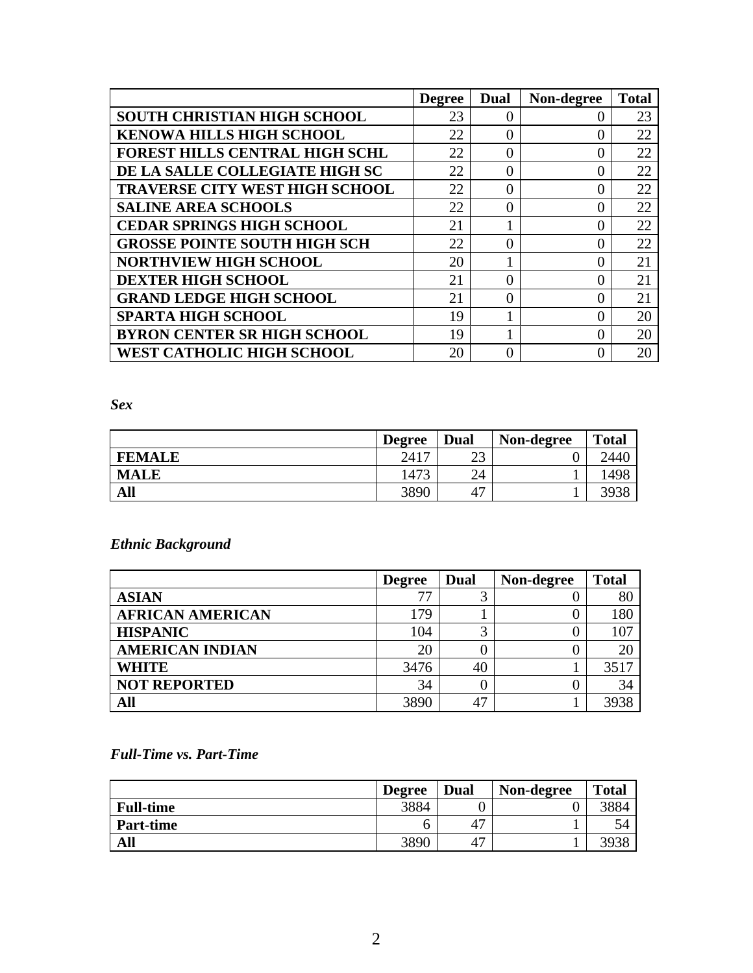|                                       | <b>Degree</b> | <b>Dual</b> | Non-degree | <b>Total</b> |
|---------------------------------------|---------------|-------------|------------|--------------|
| <b>SOUTH CHRISTIAN HIGH SCHOOL</b>    | 23            | $\Omega$    |            | 23           |
| <b>KENOWA HILLS HIGH SCHOOL</b>       | 22            |             |            | 22           |
| <b>FOREST HILLS CENTRAL HIGH SCHL</b> | 22            | 0           |            | 22           |
| DE LA SALLE COLLEGIATE HIGH SC        | 22            | 0           |            | 22           |
| <b>TRAVERSE CITY WEST HIGH SCHOOL</b> | 22            | 0           |            | 22           |
| <b>SALINE AREA SCHOOLS</b>            | 22            | 0           |            | 22           |
| <b>CEDAR SPRINGS HIGH SCHOOL</b>      | 21            |             |            | 22           |
| <b>GROSSE POINTE SOUTH HIGH SCH</b>   | 22            | 0           |            | 22           |
| <b>NORTHVIEW HIGH SCHOOL</b>          | 20            |             |            | 21           |
| <b>DEXTER HIGH SCHOOL</b>             | 21            | 0           |            | 21           |
| <b>GRAND LEDGE HIGH SCHOOL</b>        | 21            | 0           |            | 21           |
| <b>SPARTA HIGH SCHOOL</b>             | 19            |             |            | 20           |
| <b>BYRON CENTER SR HIGH SCHOOL</b>    | 19            |             |            | 20           |
| <b>WEST CATHOLIC HIGH SCHOOL</b>      | 20            | 0           |            | 20           |

*Sex* 

|               | <b>Degree</b> | <b>Dual</b> | Non-degree | <b>Total</b> |
|---------------|---------------|-------------|------------|--------------|
| <b>FEMALE</b> | 2417          | ີ<br>ر∠     |            | 2440         |
| <b>MALE</b>   | 1473          | 24          |            | 498،         |
| All           | 3890          | 47          |            |              |

*Ethnic Background* 

|                         | <b>Degree</b> | Dual | Non-degree | <b>Total</b> |
|-------------------------|---------------|------|------------|--------------|
| <b>ASIAN</b>            |               |      |            | 80           |
| <b>AFRICAN AMERICAN</b> | 179           |      |            | 180          |
| <b>HISPANIC</b>         | 104           |      |            | 107          |
| <b>AMERICAN INDIAN</b>  | 20            |      |            | 20           |
| <b>WHITE</b>            | 3476          | 40   |            | 3517         |
| <b>NOT REPORTED</b>     | 34            |      |            | 34           |
| All                     | 3890          | 47   |            | 3938         |

*Full-Time vs. Part-Time* 

|                  | <b>Degree</b> | Dual | Non-degree | <b>Total</b> |
|------------------|---------------|------|------------|--------------|
| <b>Full-time</b> | 3884          |      |            | 3884         |
| <b>Part-time</b> |               | 47   |            |              |
| All              | 3890          | 47   |            | 3938         |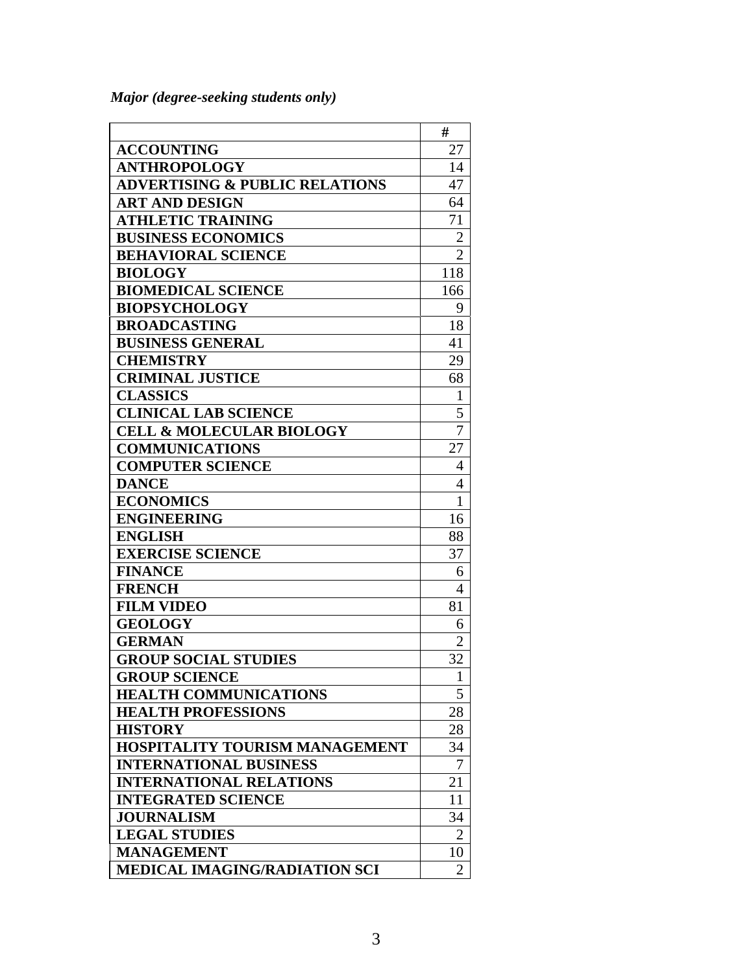*Major (degree-seeking students only)* 

|                                           | #              |
|-------------------------------------------|----------------|
| <b>ACCOUNTING</b>                         | 27             |
| <b>ANTHROPOLOGY</b>                       | 14             |
| <b>ADVERTISING &amp; PUBLIC RELATIONS</b> | 47             |
| <b>ART AND DESIGN</b>                     | 64             |
| <b>ATHLETIC TRAINING</b>                  | 71             |
| <b>BUSINESS ECONOMICS</b>                 | 2              |
| <b>BEHAVIORAL SCIENCE</b>                 | $\overline{2}$ |
| <b>BIOLOGY</b>                            | 118            |
| <b>BIOMEDICAL SCIENCE</b>                 | 166            |
| <b>BIOPSYCHOLOGY</b>                      | 9              |
| <b>BROADCASTING</b>                       | 18             |
| <b>BUSINESS GENERAL</b>                   | 41             |
| <b>CHEMISTRY</b>                          | 29             |
| <b>CRIMINAL JUSTICE</b>                   | 68             |
| <b>CLASSICS</b>                           | 1              |
| <b>CLINICAL LAB SCIENCE</b>               | 5              |
| <b>CELL &amp; MOLECULAR BIOLOGY</b>       | $\overline{7}$ |
| <b>COMMUNICATIONS</b>                     | 27             |
| <b>COMPUTER SCIENCE</b>                   | 4              |
| <b>DANCE</b>                              | $\overline{4}$ |
| <b>ECONOMICS</b>                          | $\mathbf{1}$   |
| <b>ENGINEERING</b>                        | 16             |
| <b>ENGLISH</b>                            | 88             |
| <b>EXERCISE SCIENCE</b>                   | 37             |
| <b>FINANCE</b>                            | 6              |
| <b>FRENCH</b>                             | $\overline{4}$ |
| <b>FILM VIDEO</b>                         | 81             |
| <b>GEOLOGY</b>                            | 6              |
| <b>GERMAN</b>                             | $\overline{2}$ |
| <b>GROUP SOCIAL STUDIES</b>               | 32             |
| <b>GROUP SCIENCE</b>                      |                |
| <b>HEALTH COMMUNICATIONS</b>              | 5              |
| <b>HEALTH PROFESSIONS</b>                 | 28             |
| <b>HISTORY</b>                            | 28             |
| HOSPITALITY TOURISM MANAGEMENT            | 34             |
| <b>INTERNATIONAL BUSINESS</b>             | 7              |
| <b>INTERNATIONAL RELATIONS</b>            | 21             |
| <b>INTEGRATED SCIENCE</b>                 | 11             |
| <b>JOURNALISM</b>                         | 34             |
| <b>LEGAL STUDIES</b>                      | $\overline{2}$ |
| <b>MANAGEMENT</b>                         | 10             |
| MEDICAL IMAGING/RADIATION SCI             | $\overline{2}$ |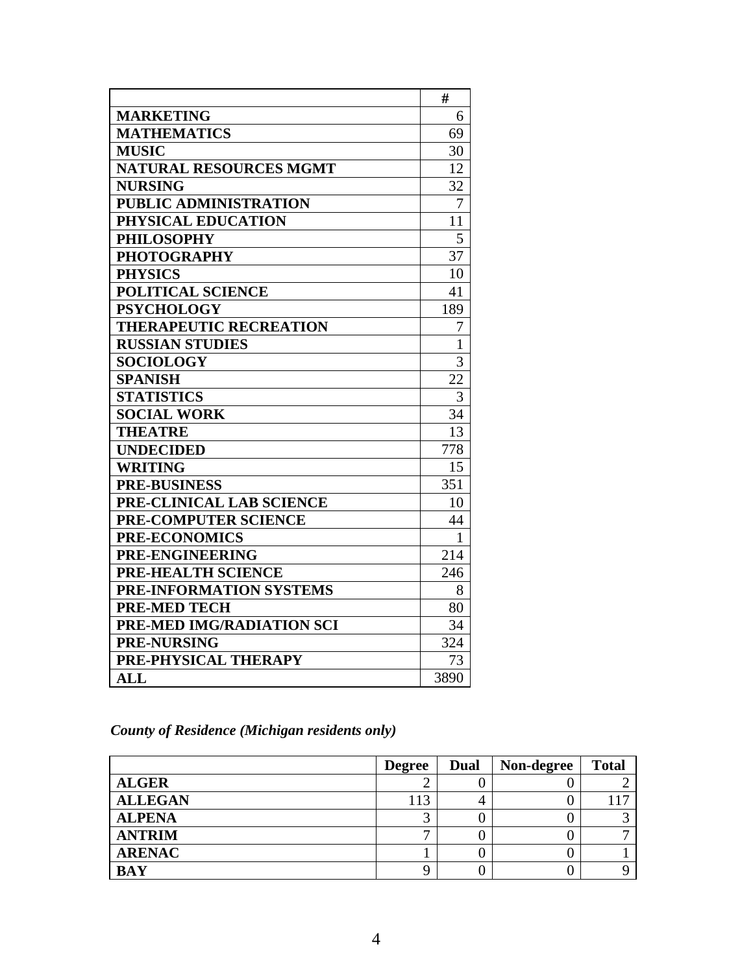|                               | #               |
|-------------------------------|-----------------|
| <b>MARKETING</b>              | 6               |
| <b>MATHEMATICS</b>            | 69              |
| <b>MUSIC</b>                  | 30              |
| <b>NATURAL RESOURCES MGMT</b> | 12              |
| <b>NURSING</b>                | 32              |
| PUBLIC ADMINISTRATION         | 7               |
| PHYSICAL EDUCATION            | 11              |
| <b>PHILOSOPHY</b>             | 5               |
| <b>PHOTOGRAPHY</b>            | 37              |
| <b>PHYSICS</b>                | 10              |
| POLITICAL SCIENCE             | 41              |
| <b>PSYCHOLOGY</b>             | 189             |
| <b>THERAPEUTIC RECREATION</b> | 7               |
| <b>RUSSIAN STUDIES</b>        | $\mathbf{1}$    |
| <b>SOCIOLOGY</b>              | 3               |
| <b>SPANISH</b>                | $2\overline{2}$ |
| <b>STATISTICS</b>             | 3               |
| <b>SOCIAL WORK</b>            | 34              |
| <b>THEATRE</b>                | 13              |
| <b>UNDECIDED</b>              | 778             |
| <b>WRITING</b>                | 15              |
| <b>PRE-BUSINESS</b>           | 351             |
| PRE-CLINICAL LAB SCIENCE      | 10              |
| <b>PRE-COMPUTER SCIENCE</b>   | 44              |
| <b>PRE-ECONOMICS</b>          | 1               |
| PRE-ENGINEERING               | 214             |
| PRE-HEALTH SCIENCE            | 246             |
| PRE-INFORMATION SYSTEMS       | 8               |
| <b>PRE-MED TECH</b>           | 80              |
| PRE-MED IMG/RADIATION SCI     | 34              |
| <b>PRE-NURSING</b>            | 324             |
| PRE-PHYSICAL THERAPY          | 73              |
| $\mathbf{ALL}$                | 3890            |

# *County of Residence (Michigan residents only)*

|                | <b>Degree</b> | Dual | Non-degree | <b>Total</b> |
|----------------|---------------|------|------------|--------------|
| <b>ALGER</b>   |               |      |            |              |
| <b>ALLEGAN</b> | 113           |      |            |              |
| <b>ALPENA</b>  |               |      |            |              |
| <b>ANTRIM</b>  |               |      |            |              |
| <b>ARENAC</b>  |               |      |            |              |
| <b>BAY</b>     |               |      |            |              |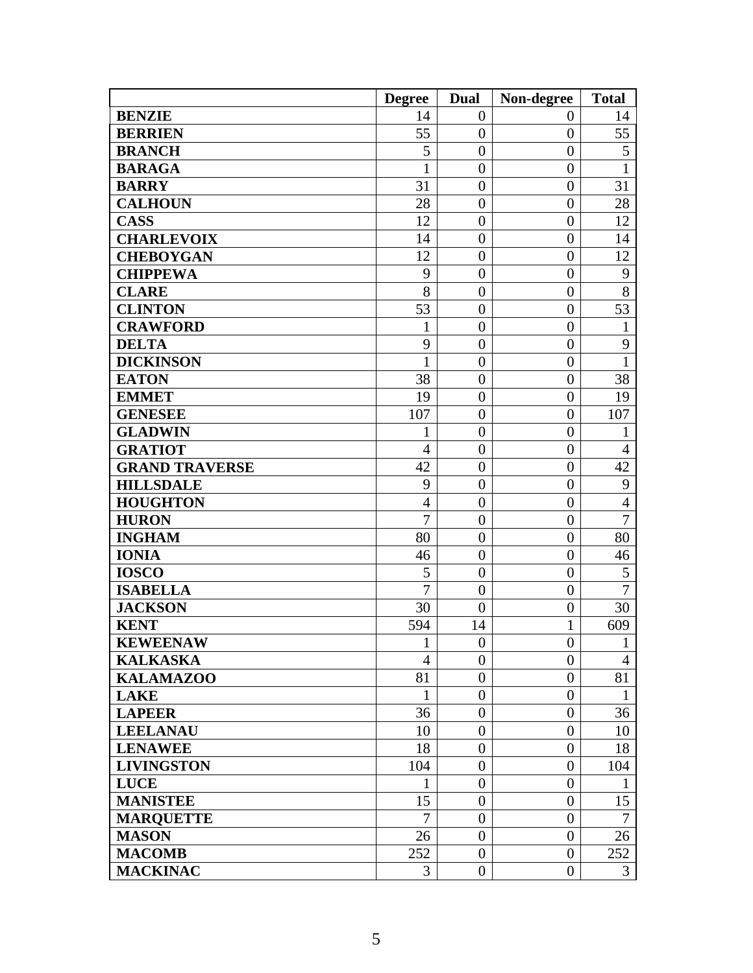|                       | <b>Degree</b>  | <b>Dual</b>      | Non-degree       | <b>Total</b>   |
|-----------------------|----------------|------------------|------------------|----------------|
| <b>BENZIE</b>         | 14             | $\overline{0}$   | 0                | 14             |
| <b>BERRIEN</b>        | 55             | $\theta$         | $\overline{0}$   | 55             |
| <b>BRANCH</b>         | 5              | $\overline{0}$   | $\overline{0}$   | 5              |
| <b>BARAGA</b>         | $\mathbf{1}$   | $\overline{0}$   | $\overline{0}$   | $\mathbf{1}$   |
| <b>BARRY</b>          | 31             | $\overline{0}$   | $\overline{0}$   | 31             |
| <b>CALHOUN</b>        | 28             | $\overline{0}$   | $\overline{0}$   | 28             |
| <b>CASS</b>           | 12             | $\overline{0}$   | $\overline{0}$   | 12             |
| <b>CHARLEVOIX</b>     | 14             | $\overline{0}$   | $\overline{0}$   | 14             |
| <b>CHEBOYGAN</b>      | 12             | $\overline{0}$   | $\overline{0}$   | 12             |
| <b>CHIPPEWA</b>       | 9              | $\overline{0}$   | $\overline{0}$   | 9              |
| <b>CLARE</b>          | 8              | $\overline{0}$   | $\overline{0}$   | 8              |
| <b>CLINTON</b>        | 53             | $\overline{0}$   | $\overline{0}$   | 53             |
| <b>CRAWFORD</b>       | 1              | $\overline{0}$   | $\overline{0}$   | 1              |
| <b>DELTA</b>          | 9              | $\overline{0}$   | $\boldsymbol{0}$ | 9              |
| <b>DICKINSON</b>      | $\mathbf{1}$   | $\overline{0}$   | $\overline{0}$   | $\mathbf{1}$   |
| <b>EATON</b>          | 38             | $\overline{0}$   | $\overline{0}$   | 38             |
| <b>EMMET</b>          | 19             | $\overline{0}$   | $\overline{0}$   | 19             |
| <b>GENESEE</b>        | 107            | $\theta$         | $\boldsymbol{0}$ | 107            |
| <b>GLADWIN</b>        | 1              | $\overline{0}$   | $\theta$         | 1              |
| <b>GRATIOT</b>        | $\overline{4}$ | $\overline{0}$   | $\overline{0}$   | $\overline{4}$ |
| <b>GRAND TRAVERSE</b> | 42             | $\overline{0}$   | $\overline{0}$   | 42             |
| <b>HILLSDALE</b>      | 9              | $\overline{0}$   | $\overline{0}$   | 9              |
| <b>HOUGHTON</b>       | $\overline{4}$ | $\overline{0}$   | $\overline{0}$   | $\overline{4}$ |
| <b>HURON</b>          | $\overline{7}$ | $\overline{0}$   | $\overline{0}$   | $\overline{7}$ |
| <b>INGHAM</b>         | 80             | $\overline{0}$   | $\overline{0}$   | 80             |
| <b>IONIA</b>          | 46             | $\overline{0}$   | $\overline{0}$   | 46             |
| <b>IOSCO</b>          | 5              | $\boldsymbol{0}$ | $\overline{0}$   | 5              |
| <b>ISABELLA</b>       | $\overline{7}$ | $\overline{0}$   | $\overline{0}$   | 7              |
| <b>JACKSON</b>        | 30             | $\overline{0}$   | $\boldsymbol{0}$ | 30             |
| <b>KENT</b>           | 594            | 14               | $\mathbf{1}$     | 609            |
| <b>KEWEENAW</b>       | $\mathbf{1}$   | $\boldsymbol{0}$ | $\boldsymbol{0}$ | $\mathbf{1}$   |
| <b>KALKASKA</b>       | $\overline{4}$ | $\overline{0}$   | $\boldsymbol{0}$ | $\overline{4}$ |
| <b>KALAMAZOO</b>      | 81             | $\overline{0}$   | $\overline{0}$   | 81             |
| <b>LAKE</b>           | 1              | $\boldsymbol{0}$ | $\boldsymbol{0}$ | 1              |
| <b>LAPEER</b>         | 36             | $\boldsymbol{0}$ | $\boldsymbol{0}$ | 36             |
| <b>LEELANAU</b>       | 10             | $\overline{0}$   | $\overline{0}$   | 10             |
| <b>LENAWEE</b>        | 18             | $\boldsymbol{0}$ | $\boldsymbol{0}$ | 18             |
| <b>LIVINGSTON</b>     | 104            | $\overline{0}$   | $\boldsymbol{0}$ | 104            |
| <b>LUCE</b>           | $\mathbf{1}$   | $\boldsymbol{0}$ | $\boldsymbol{0}$ | 1              |
| <b>MANISTEE</b>       | 15             | $\boldsymbol{0}$ | $\overline{0}$   | 15             |
| <b>MARQUETTE</b>      | 7              | $\overline{0}$   | $\overline{0}$   | 7              |
| <b>MASON</b>          | 26             | $\overline{0}$   | $\boldsymbol{0}$ | 26             |
| <b>MACOMB</b>         | 252            | $\overline{0}$   | $\overline{0}$   | 252            |
| <b>MACKINAC</b>       | 3              | $\boldsymbol{0}$ | $\boldsymbol{0}$ | 3              |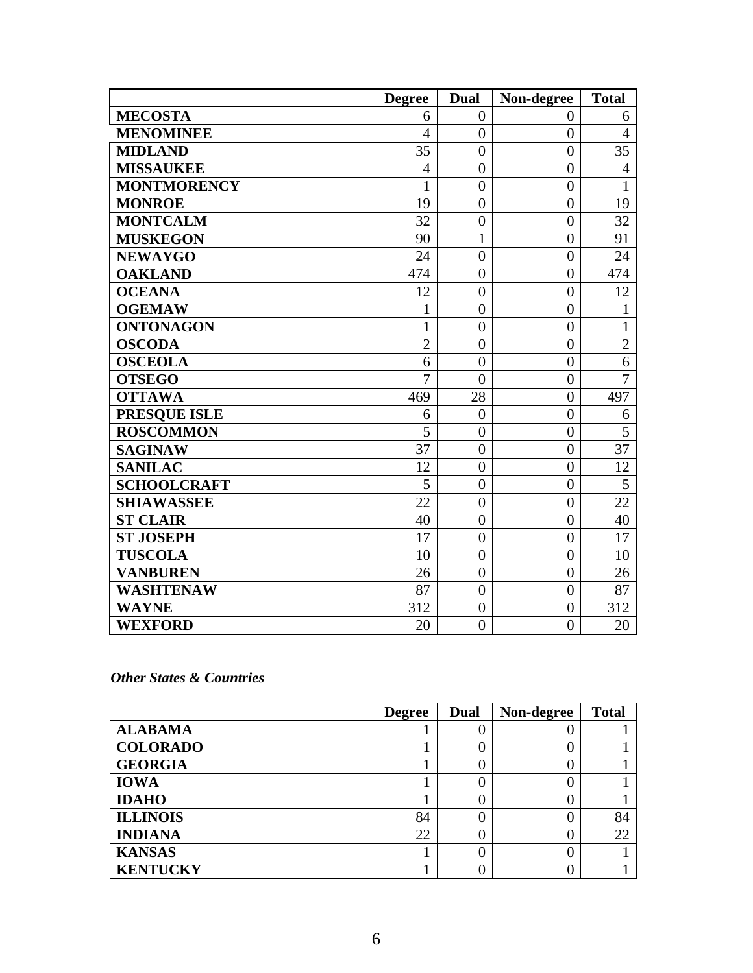|                     | <b>Degree</b>  | Dual           | Non-degree     | <b>Total</b>   |
|---------------------|----------------|----------------|----------------|----------------|
| <b>MECOSTA</b>      | 6              | $\overline{0}$ | $\overline{0}$ | 6              |
| <b>MENOMINEE</b>    | $\overline{4}$ | $\overline{0}$ | $\overline{0}$ | $\overline{4}$ |
| <b>MIDLAND</b>      | 35             | $\overline{0}$ | $\overline{0}$ | 35             |
| <b>MISSAUKEE</b>    | $\overline{4}$ | $\overline{0}$ | $\overline{0}$ | $\overline{4}$ |
| <b>MONTMORENCY</b>  |                | $\overline{0}$ | $\overline{0}$ | 1              |
| <b>MONROE</b>       | 19             | $\overline{0}$ | $\overline{0}$ | 19             |
| <b>MONTCALM</b>     | 32             | $\overline{0}$ | $\overline{0}$ | 32             |
| <b>MUSKEGON</b>     | 90             | $\mathbf{1}$   | $\overline{0}$ | 91             |
| <b>NEWAYGO</b>      | 24             | $\overline{0}$ | $\overline{0}$ | 24             |
| <b>OAKLAND</b>      | 474            | $\overline{0}$ | $\overline{0}$ | 474            |
| <b>OCEANA</b>       | 12             | $\overline{0}$ | $\overline{0}$ | 12             |
| <b>OGEMAW</b>       | $\mathbf{1}$   | $\overline{0}$ | $\overline{0}$ | $\mathbf{1}$   |
| <b>ONTONAGON</b>    | $\mathbf{1}$   | $\overline{0}$ | $\overline{0}$ | $\mathbf{1}$   |
| <b>OSCODA</b>       | $\overline{2}$ | $\overline{0}$ | $\overline{0}$ | $\overline{2}$ |
| <b>OSCEOLA</b>      | 6              | $\overline{0}$ | $\overline{0}$ | 6              |
| <b>OTSEGO</b>       | $\overline{7}$ | $\overline{0}$ | $\overline{0}$ | $\overline{7}$ |
| <b>OTTAWA</b>       | 469            | 28             | $\overline{0}$ | 497            |
| <b>PRESQUE ISLE</b> | 6              | $\overline{0}$ | $\overline{0}$ | 6              |
| <b>ROSCOMMON</b>    | 5              | $\overline{0}$ | $\overline{0}$ | 5              |
| <b>SAGINAW</b>      | 37             | $\overline{0}$ | $\theta$       | 37             |
| <b>SANILAC</b>      | 12             | $\overline{0}$ | $\overline{0}$ | 12             |
| <b>SCHOOLCRAFT</b>  | $\overline{5}$ | $\overline{0}$ | $\overline{0}$ | $\overline{5}$ |
| <b>SHIAWASSEE</b>   | 22             | $\overline{0}$ | $\overline{0}$ | 22             |
| <b>ST CLAIR</b>     | 40             | $\overline{0}$ | $\overline{0}$ | 40             |
| <b>ST JOSEPH</b>    | 17             | $\overline{0}$ | $\overline{0}$ | 17             |
| <b>TUSCOLA</b>      | 10             | $\overline{0}$ | $\overline{0}$ | 10             |
| <b>VANBUREN</b>     | 26             | $\overline{0}$ | $\overline{0}$ | 26             |
| <b>WASHTENAW</b>    | 87             | $\overline{0}$ | $\overline{0}$ | 87             |
| <b>WAYNE</b>        | 312            | $\overline{0}$ | $\overline{0}$ | 312            |
| <b>WEXFORD</b>      | 20             | $\overline{0}$ | $\overline{0}$ | 20             |

#### *Other States & Countries*

|                 | <b>Degree</b> | <b>Dual</b> | Non-degree | <b>Total</b> |
|-----------------|---------------|-------------|------------|--------------|
| <b>ALABAMA</b>  |               |             |            |              |
| <b>COLORADO</b> |               |             |            |              |
| <b>GEORGIA</b>  |               |             |            |              |
| <b>IOWA</b>     |               |             |            |              |
| <b>IDAHO</b>    |               |             |            |              |
| <b>ILLINOIS</b> | 84            |             |            | 84           |
| <b>INDIANA</b>  | 22            |             |            | 22           |
| <b>KANSAS</b>   |               |             |            |              |
| <b>KENTUCKY</b> |               |             |            |              |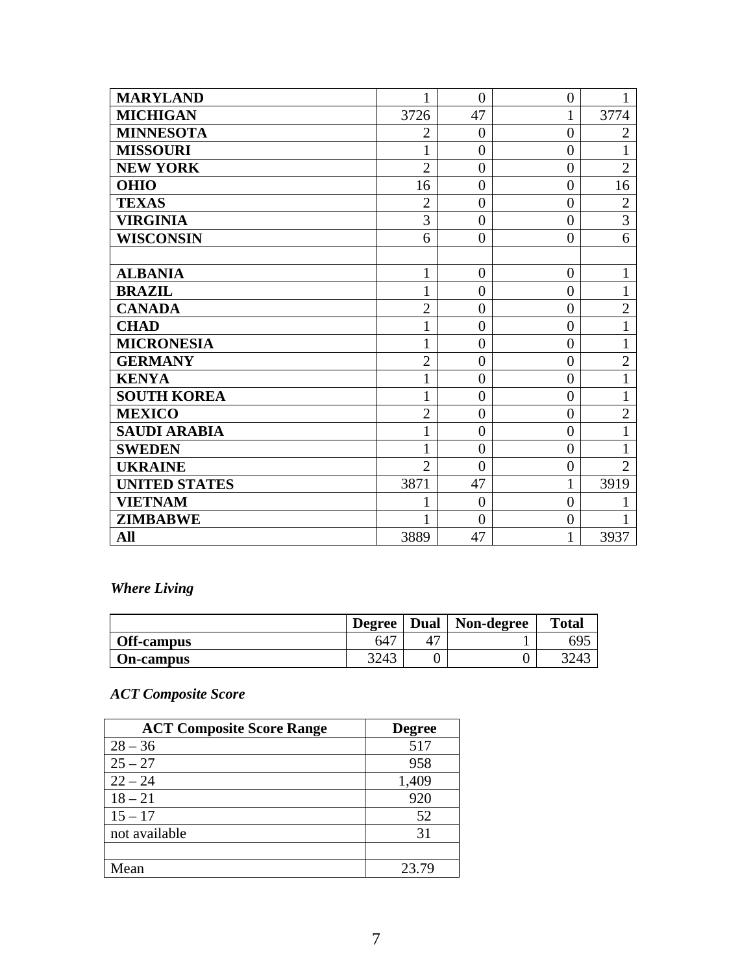| <b>MARYLAND</b>      | 1              | $\overline{0}$ | $\boldsymbol{0}$ | 1              |
|----------------------|----------------|----------------|------------------|----------------|
| <b>MICHIGAN</b>      | 3726           | 47             | $\mathbf{1}$     | 3774           |
| <b>MINNESOTA</b>     | $\overline{2}$ | $\overline{0}$ | $\overline{0}$   | $\overline{2}$ |
| <b>MISSOURI</b>      | $\mathbf{1}$   | $\overline{0}$ | $\overline{0}$   | $\mathbf{1}$   |
| <b>NEW YORK</b>      | $\overline{2}$ | $\overline{0}$ | $\overline{0}$   | $\overline{2}$ |
| <b>OHIO</b>          | 16             | $\overline{0}$ | $\overline{0}$   | 16             |
| <b>TEXAS</b>         | $\overline{2}$ | $\overline{0}$ | $\overline{0}$   | $\overline{2}$ |
| <b>VIRGINIA</b>      | 3              | $\overline{0}$ | $\overline{0}$   | $\overline{3}$ |
| <b>WISCONSIN</b>     | 6              | $\theta$       | $\theta$         | 6              |
|                      |                |                |                  |                |
| <b>ALBANIA</b>       | $\mathbf{1}$   | $\overline{0}$ | $\boldsymbol{0}$ | $\mathbf{1}$   |
| <b>BRAZIL</b>        | $\mathbf{1}$   | $\overline{0}$ | $\theta$         | $\mathbf{1}$   |
| <b>CANADA</b>        | $\overline{2}$ | $\overline{0}$ | $\overline{0}$   | $\overline{2}$ |
| <b>CHAD</b>          | $\mathbf{1}$   | $\overline{0}$ | $\overline{0}$   | $\mathbf{1}$   |
| <b>MICRONESIA</b>    | $\mathbf{1}$   | $\overline{0}$ | $\overline{0}$   | $\mathbf{1}$   |
| <b>GERMANY</b>       | $\overline{2}$ | $\overline{0}$ | $\overline{0}$   | $\overline{2}$ |
| <b>KENYA</b>         | $\mathbf{1}$   | $\overline{0}$ | $\overline{0}$   | $\mathbf{1}$   |
| <b>SOUTH KOREA</b>   | $\mathbf{1}$   | $\overline{0}$ | $\overline{0}$   | $\mathbf{1}$   |
| <b>MEXICO</b>        | $\overline{2}$ | $\overline{0}$ | $\theta$         | $\overline{2}$ |
| <b>SAUDI ARABIA</b>  | $\mathbf{1}$   | $\overline{0}$ | $\overline{0}$   | $\mathbf{1}$   |
| <b>SWEDEN</b>        | $\mathbf{1}$   | $\overline{0}$ | $\overline{0}$   | $\mathbf{1}$   |
| <b>UKRAINE</b>       | $\overline{2}$ | $\overline{0}$ | $\overline{0}$   | $\overline{2}$ |
| <b>UNITED STATES</b> | 3871           | 47             | 1                | 3919           |
| <b>VIETNAM</b>       | 1              | $\overline{0}$ | $\overline{0}$   |                |
| <b>ZIMBABWE</b>      | 1              | $\theta$       | $\overline{0}$   | 1              |
| All                  | 3889           | 47             | 1                | 3937           |

*Where Living* 

|                  | <b>Degree</b>   | Dual | Non-degree | <b>Total</b> |
|------------------|-----------------|------|------------|--------------|
| Off-campus       | 64 <sup>7</sup> |      |            | 695          |
| <b>On-campus</b> | 3243            |      |            | 201          |

## *ACT Composite Score*

| <b>ACT Composite Score Range</b> | <b>Degree</b> |
|----------------------------------|---------------|
| $28 - 36$                        | 517           |
| $25 - 27$                        | 958           |
| $22 - 24$                        | 1,409         |
| $18 - 21$                        | 920           |
| $15 - 17$                        | 52            |
| not available                    | 31            |
|                                  |               |
| Mean                             | 23.79         |